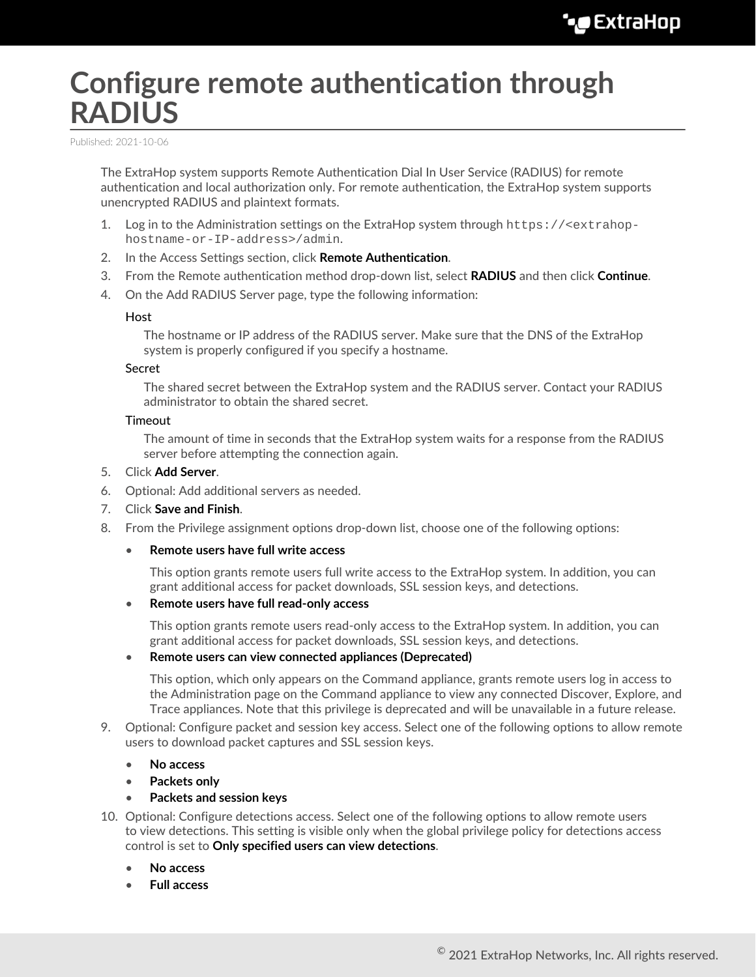# **Configure remote authentication through RADIUS**

Published: 2021-10-06

The ExtraHop system supports Remote Authentication Dial In User Service (RADIUS) for remote authentication and local authorization only. For remote authentication, the ExtraHop system supports unencrypted RADIUS and plaintext formats.

- 1. Log in to the Administration settings on the ExtraHop system through https://<extrahophostname-or-IP-address>/admin.
- 2. In the Access Settings section, click **Remote Authentication**.
- 3. From the Remote authentication method drop-down list, select **RADIUS** and then click **Continue**.
- 4. On the Add RADIUS Server page, type the following information:

### Host

The hostname or IP address of the RADIUS server. Make sure that the DNS of the ExtraHop system is properly configured if you specify a hostname.

#### Secret

The shared secret between the ExtraHop system and the RADIUS server. Contact your RADIUS administrator to obtain the shared secret.

#### **Timeout**

The amount of time in seconds that the ExtraHop system waits for a response from the RADIUS server before attempting the connection again.

- 5. Click **Add Server**.
- 6. Optional: Add additional servers as needed.
- 7. Click **Save and Finish**.
- 8. From the Privilege assignment options drop-down list, choose one of the following options:
	- **Remote users have full write access**

This option grants remote users full write access to the ExtraHop system. In addition, you can grant additional access for packet downloads, SSL session keys, and detections.

• **Remote users have full read-only access**

This option grants remote users read-only access to the ExtraHop system. In addition, you can grant additional access for packet downloads, SSL session keys, and detections.

## • **Remote users can view connected appliances (Deprecated)**

This option, which only appears on the Command appliance, grants remote users log in access to the Administration page on the Command appliance to view any connected Discover, Explore, and Trace appliances. Note that this privilege is deprecated and will be unavailable in a future release.

9. Optional: Configure packet and session key access. Select one of the following options to allow remote users to download packet captures and SSL session keys.

### • **No access**

• **Packets only**

### • **Packets and session keys**

- 10. Optional: Configure detections access. Select one of the following options to allow remote users to view detections. This setting is visible only when the global privilege policy for detections access control is set to **Only specified users can view detections**.
	- **No access**
	- **Full access**